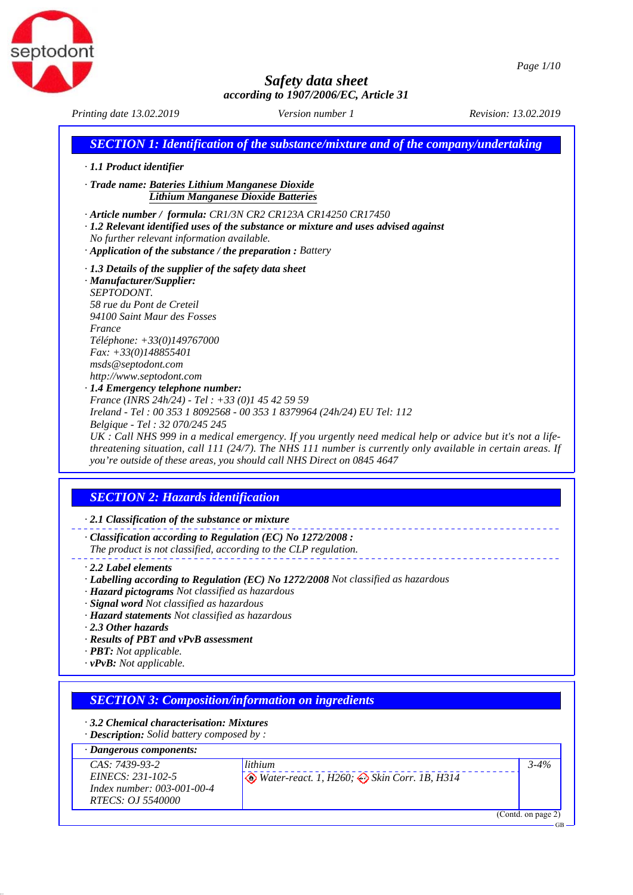



*Printing date 13.02.2019 Revision: 13.02.2019 Version number 1*

|                                                                                                                                                                                                                                                                                                                                                                                                                    | <b>SECTION 1: Identification of the substance/mixture and of the company/undertaking</b>                                                                                                                                                                                                                                                                                          |
|--------------------------------------------------------------------------------------------------------------------------------------------------------------------------------------------------------------------------------------------------------------------------------------------------------------------------------------------------------------------------------------------------------------------|-----------------------------------------------------------------------------------------------------------------------------------------------------------------------------------------------------------------------------------------------------------------------------------------------------------------------------------------------------------------------------------|
| · 1.1 Product identifier                                                                                                                                                                                                                                                                                                                                                                                           |                                                                                                                                                                                                                                                                                                                                                                                   |
| · Trade name: Bateries Lithium Manganese Dioxide<br><b>Lithium Manganese Dioxide Batteries</b>                                                                                                                                                                                                                                                                                                                     |                                                                                                                                                                                                                                                                                                                                                                                   |
| No further relevant information available.<br>$\cdot$ Application of the substance / the preparation : Battery                                                                                                                                                                                                                                                                                                     | · Article number / formula: CR1/3N CR2 CR123A CR14250 CR17450<br>$\cdot$ 1.2 Relevant identified uses of the substance or mixture and uses advised against                                                                                                                                                                                                                        |
| $\cdot$ 1.3 Details of the supplier of the safety data sheet<br>· Manufacturer/Supplier:<br>SEPTODONT.<br>58 rue du Pont de Creteil<br>94100 Saint Maur des Fosses<br>France<br>Téléphone: +33(0)149767000<br>$Fax: +33(0)148855401$<br>msds@septodont.com<br>http://www.septodont.com<br>· 1.4 Emergency telephone number:<br>France (INRS 24h/24) - Tel: +33 (0)1 45 42 59 59<br>Belgique - Tel : 32 070/245 245 | Ireland - Tel: 00 353 1 8092568 - 00 353 1 8379964 (24h/24) EU Tel: 112<br>$UK:$ Call NHS 999 in a medical emergency. If you urgently need medical help or advice but it's not a life-<br>threatening situation, call $111$ (24/7). The NHS 111 number is currently only available in certain areas. If<br>you're outside of these areas, you should call NHS Direct on 0845 4647 |
| <b>SECTION 2: Hazards identification</b>                                                                                                                                                                                                                                                                                                                                                                           |                                                                                                                                                                                                                                                                                                                                                                                   |
| $\cdot$ 2.1 Classification of the substance or mixture                                                                                                                                                                                                                                                                                                                                                             |                                                                                                                                                                                                                                                                                                                                                                                   |
| $\cdot$ Classification according to Regulation (EC) No 1272/2008 :<br>The product is not classified, according to the CLP regulation.                                                                                                                                                                                                                                                                              |                                                                                                                                                                                                                                                                                                                                                                                   |
| $\cdot$ 2.2 Label elements<br>· Hazard pictograms Not classified as hazardous<br>· Signal word Not classified as hazardous<br>· Hazard statements Not classified as hazardous<br>2.3 Other hazards<br>· Results of PBT and vPvB assessment<br>$\cdot$ <b>PBT:</b> Not applicable.<br>$\cdot$ vPvB: Not applicable.                                                                                                 | · Labelling according to Regulation (EC) No 1272/2008 Not classified as hazardous                                                                                                                                                                                                                                                                                                 |
|                                                                                                                                                                                                                                                                                                                                                                                                                    |                                                                                                                                                                                                                                                                                                                                                                                   |
| <b>SECTION 3: Composition/information on ingredients</b><br>3.2 Chemical characterisation: Mixtures<br>· Description: Solid battery composed by :                                                                                                                                                                                                                                                                  |                                                                                                                                                                                                                                                                                                                                                                                   |
| · Dangerous components:                                                                                                                                                                                                                                                                                                                                                                                            |                                                                                                                                                                                                                                                                                                                                                                                   |
| CAS: 7439-93-2<br>EINECS: 231-102-5<br>Index number: 003-001-00-4<br>RTECS: OJ 5540000                                                                                                                                                                                                                                                                                                                             | lithium<br>$3 - 4%$<br><i>Water-react. 1, H260; <math>\leftrightarrow</math> Skin Corr. 1B, H314</i>                                                                                                                                                                                                                                                                              |
|                                                                                                                                                                                                                                                                                                                                                                                                                    | (Contd. on page 2)                                                                                                                                                                                                                                                                                                                                                                |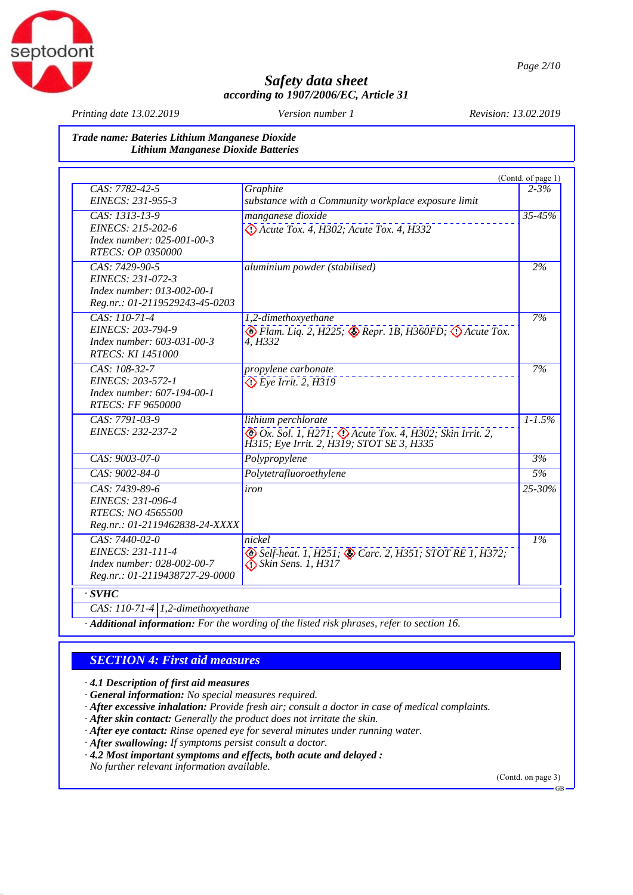

*Printing date 13.02.2019 Revision: 13.02.2019 Version number 1*

### *Trade name: Bateries Lithium Manganese Dioxide Lithium Manganese Dioxide Batteries*

|                                |                                                                                         | (Contd. of page 1) |
|--------------------------------|-----------------------------------------------------------------------------------------|--------------------|
| CAS: 7782-42-5                 | Graphite                                                                                | $2 - 3\%$          |
| EINECS: 231-955-3              | substance with a Community workplace exposure limit                                     |                    |
| CAS: 1313-13-9                 | manganese dioxide                                                                       | 35-45%             |
| EINECS: 215-202-6              | $\bigcirc$ Acute Tox. 4, H302; Acute Tox. 4, H332                                       |                    |
| Index number: 025-001-00-3     |                                                                                         |                    |
| <b>RTECS: OP 0350000</b>       |                                                                                         |                    |
| $CAS: 7429-90-5$               | aluminium powder (stabilised)                                                           | 2%                 |
| EINECS: 231-072-3              |                                                                                         |                    |
| Index number: 013-002-00-1     |                                                                                         |                    |
| Reg.nr.: 01-2119529243-45-0203 |                                                                                         |                    |
| CAS: 110-71-4                  | 1,2-dimethoxyethane                                                                     | 7%                 |
| EINECS: 203-794-9              | $\bigotimes$ Flam. Liq. 2, H225; $\bigotimes$ Repr. 1B, H360FD; $\bigotimes$ Acute Tox. |                    |
| Index number: 603-031-00-3     | 4. H332                                                                                 |                    |
| <b>RTECS: KI 1451000</b>       |                                                                                         |                    |
| CAS: 108-32-7                  | propylene carbonate                                                                     | 7%                 |
| EINECS: 203-572-1              | $\bigcirc$ Eye Irrit. 2, H319                                                           |                    |
| Index number: 607-194-00-1     |                                                                                         |                    |
| <b>RTECS: FF 9650000</b>       |                                                                                         |                    |
| CAS: 7791-03-9                 | lithium perchlorate                                                                     | $1 - 1.5\%$        |
| EINECS: 232-237-2              | Ox. Sol. 1, H271; O Acute Tox. 4, H302; Skin Irrit. 2,                                  |                    |
|                                | H315; Eye Irrit. 2, H319; STOT SE 3, H335                                               |                    |
| CAS: 9003-07-0                 | Polypropylene                                                                           | 3%                 |
| CAS: 9002-84-0                 | Polytetrafluoroethylene                                                                 | 5%                 |
| CAS: 7439-89-6                 | iron                                                                                    | 25-30%             |
| EINECS: 231-096-4              |                                                                                         |                    |
| RTECS: NO 4565500              |                                                                                         |                    |
| Reg.nr.: 01-2119462838-24-XXXX |                                                                                         |                    |
| CAS: 7440-02-0                 | nickel                                                                                  | $1\%$              |
| EINECS: 231-111-4              | Self-heat. 1, H251; Carc. 2, H351; STOT RE 1, H372;                                     |                    |
| Index number: 028-002-00-7     | $\bigcirc$ Skin Sens. 1, H317                                                           |                    |
| Reg.nr.: 01-2119438727-29-0000 |                                                                                         |                    |

*CAS: 110-71-4 1,2-dimethoxyethane*

*· Additional information: For the wording of the listed risk phrases, refer to section 16.*

### *SECTION 4: First aid measures*

*· 4.1 Description of first aid measures*

- *· General information: No special measures required.*
- *· After excessive inhalation: Provide fresh air; consult a doctor in case of medical complaints.*
- *· After skin contact: Generally the product does not irritate the skin.*
- *· After eye contact: Rinse opened eye for several minutes under running water.*
- *· After swallowing: If symptoms persist consult a doctor.*
- *· 4.2 Most important symptoms and effects, both acute and delayed :*

*No further relevant information available.*

(Contd. on page 3)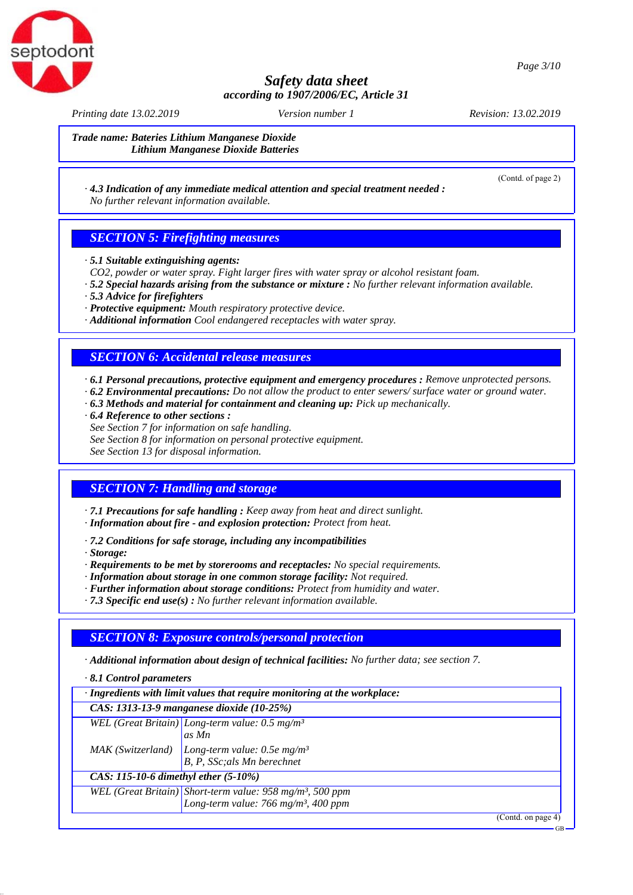

*Printing date 13.02.2019 Revision: 13.02.2019 Version number 1*

(Contd. of page 2)

GB

*Trade name: Bateries Lithium Manganese Dioxide Lithium Manganese Dioxide Batteries*

### *· 4.3 Indication of any immediate medical attention and special treatment needed : No further relevant information available.*

## *SECTION 5: Firefighting measures*

- *· 5.1 Suitable extinguishing agents:*
- *CO2, powder or water spray. Fight larger fires with water spray or alcohol resistant foam.*
- *· 5.2 Special hazards arising from the substance or mixture : No further relevant information available.*
- *· 5.3 Advice for firefighters*
- *· Protective equipment: Mouth respiratory protective device.*
- *· Additional information Cool endangered receptacles with water spray.*

### *SECTION 6: Accidental release measures*

*· 6.1 Personal precautions, protective equipment and emergency procedures : Remove unprotected persons.*

- *· 6.2 Environmental precautions: Do not allow the product to enter sewers/ surface water or ground water.*
- *· 6.3 Methods and material for containment and cleaning up: Pick up mechanically.*
- *· 6.4 Reference to other sections :*
- *See Section 7 for information on safe handling.*
- *See Section 8 for information on personal protective equipment.*

*See Section 13 for disposal information.*

## *SECTION 7: Handling and storage*

*· 7.1 Precautions for safe handling : Keep away from heat and direct sunlight.*

- *· Information about fire and explosion protection: Protect from heat.*
- *· 7.2 Conditions for safe storage, including any incompatibilities*
- *· Storage:*

*· Requirements to be met by storerooms and receptacles: No special requirements.*

- *· Information about storage in one common storage facility: Not required.*
- *· Further information about storage conditions: Protect from humidity and water.*
- *· 7.3 Specific end use(s) : No further relevant information available.*

## *SECTION 8: Exposure controls/personal protection*

*· Additional information about design of technical facilities: No further data; see section 7.*

*· 8.1 Control parameters*

| · Ingredients with limit values that require monitoring at the workplace:                                                |                                                                                                              |  |
|--------------------------------------------------------------------------------------------------------------------------|--------------------------------------------------------------------------------------------------------------|--|
| CAS: 1313-13-9 manganese dioxide (10-25%)                                                                                |                                                                                                              |  |
|                                                                                                                          | WEL (Great Britain) Long-term value: $0.5$ mg/m <sup>3</sup>                                                 |  |
|                                                                                                                          | as Mn                                                                                                        |  |
|                                                                                                                          | MAK (Switzerland) $\begin{vmatrix} Long-term value: 0.5e mg/m^3 \ B, P, SSC; als Mn berechnet \end{vmatrix}$ |  |
|                                                                                                                          |                                                                                                              |  |
| CAS: 115-10-6 dimethyl ether $(5-10\%)$                                                                                  |                                                                                                              |  |
| WEL (Great Britain) Short-term value: $958 \text{ mg/m}^3$ , 500 ppm<br>Long-term value: 766 mg/m <sup>3</sup> , 400 ppm |                                                                                                              |  |
|                                                                                                                          |                                                                                                              |  |
|                                                                                                                          | (Contd. on page 4)                                                                                           |  |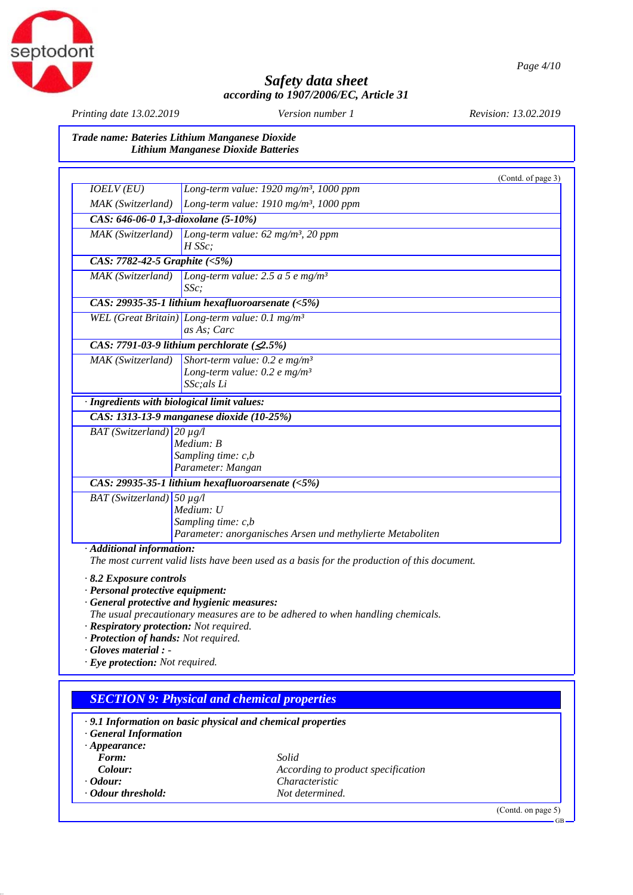

*Printing date 13.02.2019 Revision: 13.02.2019 Version number 1*

*Trade name: Bateries Lithium Manganese Dioxide Lithium Manganese Dioxide Batteries*

| IOELV(EU)                                   |                                                                                                               | (Contd. of page 3) |
|---------------------------------------------|---------------------------------------------------------------------------------------------------------------|--------------------|
|                                             | Long-term value: 1920 mg/m <sup>3</sup> , 1000 ppm                                                            |                    |
| MAK (Switzerland)                           | Long-term value: $1910$ mg/m <sup>3</sup> , 1000 ppm                                                          |                    |
| CAS: 646-06-0 1,3-dioxolane (5-10%)         |                                                                                                               |                    |
| MAK (Switzerland)                           | Long-term value: $62$ mg/m <sup>3</sup> , $20$ ppm<br>$H$ SS $c$ :                                            |                    |
| CAS: 7782-42-5 Graphite (<5%)               |                                                                                                               |                    |
| MAK (Switzerland)                           | Long-term value: $2.5$ a 5 e mg/m <sup>3</sup><br>$SSc$ ;                                                     |                    |
|                                             | CAS: 29935-35-1 lithium hexafluoroarsenate $(5\%)$                                                            |                    |
|                                             | WEL (Great Britain) Long-term value: 0.1 mg/m <sup>3</sup><br>as As; Carc                                     |                    |
|                                             | CAS: 7791-03-9 lithium perchlorate $(2.5\%)$                                                                  |                    |
| MAK (Switzerland)                           | Short-term value: 0.2 e mg/m <sup>3</sup><br>Long-term value: $0.2 e mg/m^3$<br>SSc:als Li                    |                    |
| · Ingredients with biological limit values: |                                                                                                               |                    |
|                                             | CAS: 1313-13-9 manganese dioxide (10-25%)                                                                     |                    |
| BAT (Switzerland) $20 \mu g/l$              | Medium: B<br>Sampling time: c,b<br>Parameter: Mangan                                                          |                    |
|                                             | CAS: 29935-35-1 lithium hexafluoroarsenate $(5\%)$                                                            |                    |
| BAT (Switzerland)                           | $50 \mu g/l$<br>Medium: U<br>Sampling time: c,b<br>Parameter: anorganisches Arsen und methylierte Metaboliten |                    |
| · Additional information:                   | The most current valid lists have been used as a basis for the production of this document.                   |                    |

*· Respiratory protection: Not required.*

- *· Protection of hands: Not required.*
- *· Gloves material :*
- *· Eye protection: Not required.*

## *SECTION 9: Physical and chemical properties*

| $\cdot$ 9.1 Information on basic physical and chemical properties<br><b>General Information</b> |                                    |                    |
|-------------------------------------------------------------------------------------------------|------------------------------------|--------------------|
| $\cdot$ Appearance:                                                                             |                                    |                    |
| Form:                                                                                           | Solid                              |                    |
| Colour:                                                                                         | According to product specification |                    |
| $\cdot$ Odour:                                                                                  | <i>Characteristic</i>              |                    |
| Odour threshold:                                                                                | Not determined.                    |                    |
|                                                                                                 |                                    | (Contd. on page 5) |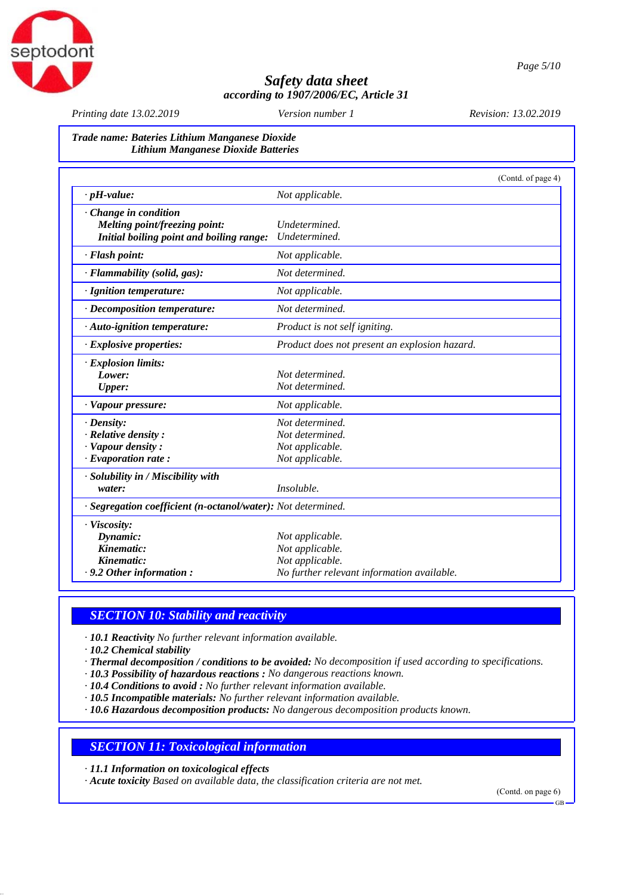

*Printing date 13.02.2019 Revision: 13.02.2019 Version number 1*

### *Trade name: Bateries Lithium Manganese Dioxide Lithium Manganese Dioxide Batteries*

|                                                              | (Contd. of page 4)                            |  |
|--------------------------------------------------------------|-----------------------------------------------|--|
| $\cdot$ pH-value:                                            | Not applicable.                               |  |
| $\cdot$ Change in condition                                  |                                               |  |
| <b>Melting point/freezing point:</b>                         | Undetermined.                                 |  |
| Initial boiling point and boiling range:                     | Undetermined.                                 |  |
| · Flash point:                                               | Not applicable.                               |  |
| · Flammability (solid, gas):                                 | Not determined.                               |  |
| · Ignition temperature:                                      | Not applicable.                               |  |
| $\cdot$ Decomposition temperature:                           | Not determined.                               |  |
| $\cdot$ Auto-ignition temperature:                           | Product is not self igniting.                 |  |
| $\cdot$ Explosive properties:                                | Product does not present an explosion hazard. |  |
| $\cdot$ Explosion limits:                                    |                                               |  |
| Lower:                                                       | Not determined.                               |  |
| <b>Upper:</b>                                                | Not determined.                               |  |
| · Vapour pressure:                                           | Not applicable.                               |  |
| $\cdot$ Density:                                             | Not determined.                               |  |
| $\cdot$ Relative density :                                   | Not determined.                               |  |
| · Vapour density:                                            | Not applicable.                               |  |
| $\cdot$ Evaporation rate:                                    | Not applicable.                               |  |
| · Solubility in / Miscibility with                           |                                               |  |
| water:                                                       | <i>Insoluble.</i>                             |  |
| · Segregation coefficient (n-octanol/water): Not determined. |                                               |  |
| · Viscosity:                                                 |                                               |  |
| Dynamic:                                                     | Not applicable.                               |  |
| Kinematic:                                                   | Not applicable.                               |  |
| Kinematic:                                                   | Not applicable.                               |  |
| $\cdot$ 9.2 Other information:                               | No further relevant information available.    |  |

### *SECTION 10: Stability and reactivity*

*· 10.1 Reactivity No further relevant information available.*

*· 10.2 Chemical stability*

- *· Thermal decomposition / conditions to be avoided: No decomposition if used according to specifications.*
- *· 10.3 Possibility of hazardous reactions : No dangerous reactions known.*
- *· 10.4 Conditions to avoid : No further relevant information available.*
- *· 10.5 Incompatible materials: No further relevant information available.*
- *· 10.6 Hazardous decomposition products: No dangerous decomposition products known.*

### *SECTION 11: Toxicological information*

*· 11.1 Information on toxicological effects*

*· Acute toxicity Based on available data, the classification criteria are not met.*

(Contd. on page 6)

GB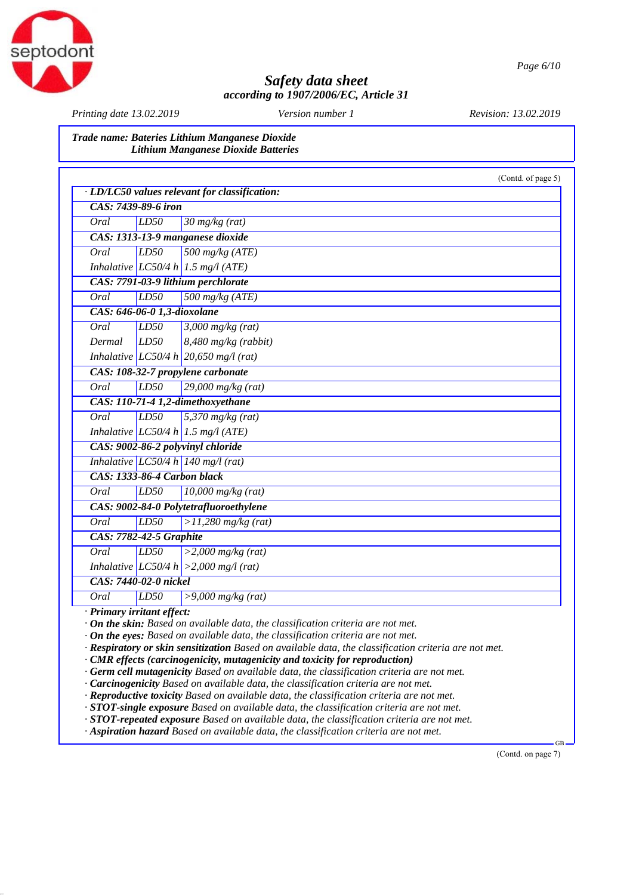

*Printing date 13.02.2019 Revision: 13.02.2019 Version number 1*

septodont

*Trade name: Bateries Lithium Manganese Dioxide Lithium Manganese Dioxide Batteries*

|                                        |                             |                                               | (Contd. of page 5) |
|----------------------------------------|-----------------------------|-----------------------------------------------|--------------------|
|                                        |                             | · LD/LC50 values relevant for classification: |                    |
|                                        | CAS: 7439-89-6 iron         |                                               |                    |
| Oral                                   | LD50                        | $30$ mg/kg (rat)                              |                    |
|                                        |                             | CAS: 1313-13-9 manganese dioxide              |                    |
| Oral                                   | LD50                        | $500$ mg/kg (ATE)                             |                    |
|                                        |                             | Inhalative LC50/4 h 1.5 mg/l (ATE)            |                    |
|                                        |                             | CAS: 7791-03-9 lithium perchlorate            |                    |
| Oral                                   | LD50                        | 500 mg/kg $(ATE)$                             |                    |
|                                        | CAS: 646-06-0 1,3-dioxolane |                                               |                    |
| Oral                                   | LD50                        | $3,000$ mg/kg (rat)                           |                    |
| Dermal                                 | LD50                        | $8,480$ mg/kg (rabbit)                        |                    |
|                                        |                             | Inhalative LC50/4 h 20,650 mg/l (rat)         |                    |
|                                        |                             | CAS: 108-32-7 propylene carbonate             |                    |
| <b>Oral</b>                            | LD50                        | $29,000$ mg/kg (rat)                          |                    |
|                                        |                             | CAS: 110-71-4 1,2-dimethoxyethane             |                    |
| Oral                                   | LD50                        | $5,370$ mg/kg (rat)                           |                    |
|                                        |                             | Inhalative LC50/4 h 1.5 mg/l (ATE)            |                    |
|                                        |                             | CAS: 9002-86-2 polyvinyl chloride             |                    |
|                                        |                             | Inhalative $LC50/4 h$ 140 mg/l (rat)          |                    |
|                                        | CAS: 1333-86-4 Carbon black |                                               |                    |
| Oral                                   | LD50                        | $\sqrt{10,000}$ mg/kg (rat)                   |                    |
| CAS: 9002-84-0 Polytetrafluoroethylene |                             |                                               |                    |
| Oral                                   | LD50                        | $>11,280$ mg/kg (rat)                         |                    |
| <b>CAS: 7782-42-5 Graphite</b>         |                             |                                               |                    |
| Oral                                   | LD50                        | $>2,000$ mg/kg (rat)                          |                    |
|                                        |                             | Inhalative LC50/4 h $ >2,000$ mg/l (rat)      |                    |
|                                        | CAS: 7440-02-0 nickel       |                                               |                    |
| Oral                                   | LD50                        | $>9,000$ mg/kg (rat)                          |                    |

*· On the eyes: Based on available data, the classification criteria are not met.*

*· Respiratory or skin sensitization Based on available data, the classification criteria are not met.*

*· CMR effects (carcinogenicity, mutagenicity and toxicity for reproduction)*

*· Germ cell mutagenicity Based on available data, the classification criteria are not met.*

*· Carcinogenicity Based on available data, the classification criteria are not met.*

*· Reproductive toxicity Based on available data, the classification criteria are not met.*

*· STOT-single exposure Based on available data, the classification criteria are not met.*

*· STOT-repeated exposure Based on available data, the classification criteria are not met.*

*· Aspiration hazard Based on available data, the classification criteria are not met.*

(Contd. on page 7)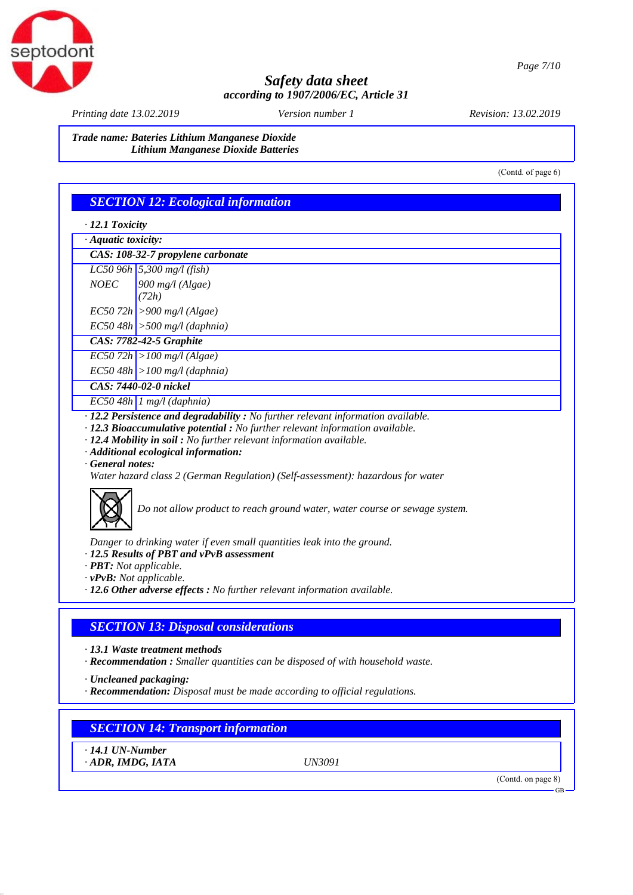

*Printing date 13.02.2019 Revision: 13.02.2019 Version number 1*

*Trade name: Bateries Lithium Manganese Dioxide Lithium Manganese Dioxide Batteries*

(Contd. of page 6)

### *SECTION 12: Ecological information*

*· 12.1 Toxicity*

|  |  | · Aquatic toxicity: |
|--|--|---------------------|
|--|--|---------------------|

| CAS: 108-32-7 propylene carbonate |                                           |  |  |
|-----------------------------------|-------------------------------------------|--|--|
|                                   | $\overline{LC50}$ 96h   5,300 mg/l (fish) |  |  |

- *NOEC 900 mg/l (Algae)*
- *(72h)*
- *EC50 72h >900 mg/l (Algae)*
- *EC50 48h >500 mg/l (daphnia)*
- *CAS: 7782-42-5 Graphite*
- *EC50 72h >100 mg/l (Algae)*
- *EC50 48h >100 mg/l (daphnia)*
- *CAS: 7440-02-0 nickel*

*EC50 48h 1 mg/l (daphnia)*

- *· 12.2 Persistence and degradability : No further relevant information available.*
- *· 12.3 Bioaccumulative potential : No further relevant information available.*
- *· 12.4 Mobility in soil : No further relevant information available.*
- *· Additional ecological information:*
- *· General notes:*
- *Water hazard class 2 (German Regulation) (Self-assessment): hazardous for water*



*Do not allow product to reach ground water, water course or sewage system.*

*Danger to drinking water if even small quantities leak into the ground.*

- *· 12.5 Results of PBT and vPvB assessment*
- *· PBT: Not applicable.*
- *· vPvB: Not applicable.*
- *· 12.6 Other adverse effects : No further relevant information available.*

## *SECTION 13: Disposal considerations*

- *· 13.1 Waste treatment methods*
- *· Recommendation : Smaller quantities can be disposed of with household waste.*
- *· Uncleaned packaging:*
- *· Recommendation: Disposal must be made according to official regulations.*

# *SECTION 14: Transport information*

*· 14.1 UN-Number · ADR, IMDG, IATA UN3091*

(Contd. on page 8)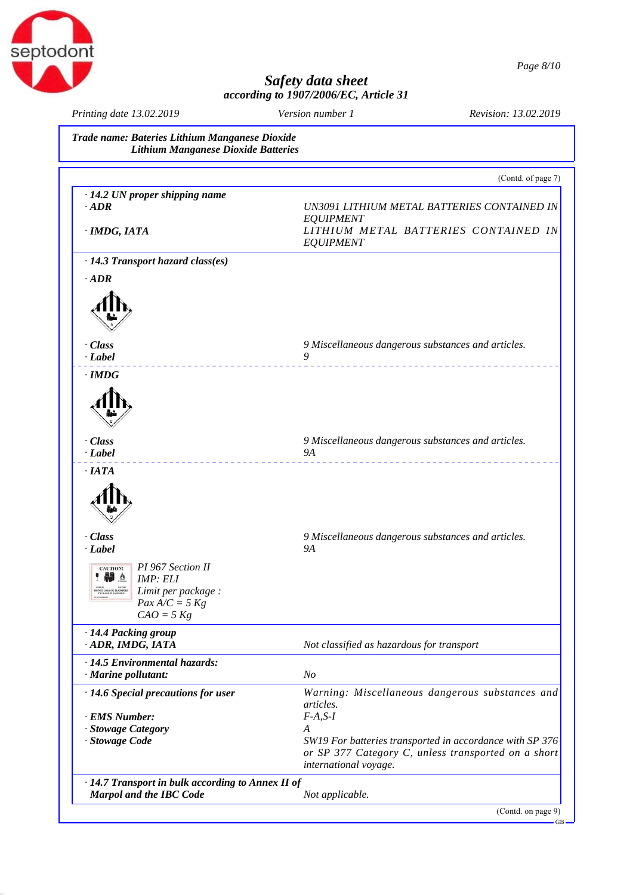

| Printing date 13.02.2019                                                                                                                                                                                               | Version number 1<br>Revision: 13.02.2019  |                                                                                                                 |
|------------------------------------------------------------------------------------------------------------------------------------------------------------------------------------------------------------------------|-------------------------------------------|-----------------------------------------------------------------------------------------------------------------|
| Trade name: Bateries Lithium Manganese Dioxide<br><b>Lithium Manganese Dioxide Batteries</b>                                                                                                                           |                                           |                                                                                                                 |
|                                                                                                                                                                                                                        |                                           | (Contd. of page 7)                                                                                              |
| $\cdot$ 14.2 UN proper shipping name<br>$\cdot$ ADR                                                                                                                                                                    |                                           | UN3091 LITHIUM METAL BATTERIES CONTAINED IN                                                                     |
| · IMDG, IATA                                                                                                                                                                                                           | <b>EQUIPMENT</b><br><b>EQUIPMENT</b>      | LITHIUM METAL BATTERIES CONTAINED IN                                                                            |
| $\cdot$ 14.3 Transport hazard class(es)                                                                                                                                                                                |                                           |                                                                                                                 |
| $\cdot$ ADR                                                                                                                                                                                                            |                                           |                                                                                                                 |
| $\cdot$ Class<br>$\cdot$ Label                                                                                                                                                                                         | 9                                         | 9 Miscellaneous dangerous substances and articles.                                                              |
| <u>.</u><br>$\cdot$ IMDG                                                                                                                                                                                               |                                           | ___________________________________                                                                             |
| $\cdot$ Class                                                                                                                                                                                                          |                                           | 9 Miscellaneous dangerous substances and articles.                                                              |
| $\cdot$ <i>Label</i>                                                                                                                                                                                                   | <b>9A</b>                                 |                                                                                                                 |
| $\cdot$ Class<br>$\cdot$ <i>Label</i><br>PI 967 Section II<br><b>CAUTION!</b><br>● 4<br>IMP: ELI<br>Limit per package :<br><b>20 NOT LOAN OK TRANSPORT</b><br>PACKAGE IF DAMAGED<br>$Pax\,A/C = 5\,Kg$<br>$CAO = 5$ Kg | <b>9A</b>                                 | 9 Miscellaneous dangerous substances and articles.                                                              |
| 14.4 Packing group<br>· ADR, IMDG, IATA                                                                                                                                                                                | Not classified as hazardous for transport |                                                                                                                 |
| · 14.5 Environmental hazards:<br>· Marine pollutant:                                                                                                                                                                   | N <sub>o</sub>                            |                                                                                                                 |
| $\cdot$ 14.6 Special precautions for user<br>· EMS Number:                                                                                                                                                             | articles.<br>$F-A, S-I$                   | Warning: Miscellaneous dangerous substances and                                                                 |
| · Stowage Category<br>· Stowage Code                                                                                                                                                                                   | A<br>international voyage.                | SW19 For batteries transported in accordance with SP 376<br>or SP 377 Category C, unless transported on a short |
| · 14.7 Transport in bulk according to Annex II of<br><b>Marpol and the IBC Code</b>                                                                                                                                    | Not applicable.                           |                                                                                                                 |
|                                                                                                                                                                                                                        |                                           | (Contd. on page 9)                                                                                              |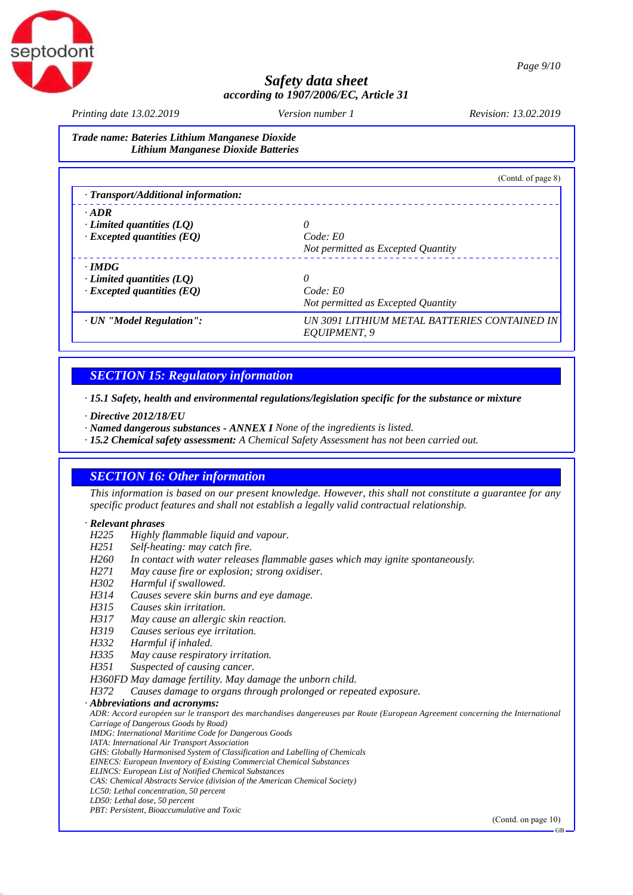

*Printing date 13.02.2019 Revision: 13.02.2019 Version number 1*

*Trade name: Bateries Lithium Manganese Dioxide Lithium Manganese Dioxide Batteries*

|                                           | (Contd. of page 8)                                           |
|-------------------------------------------|--------------------------------------------------------------|
| $\cdot$ Transport/Additional information: |                                                              |
| $\cdot$ ADR                               |                                                              |
| $\cdot$ Limited quantities (LQ)           |                                                              |
| $\cdot$ Excepted quantities (EQ)          | Code: E0                                                     |
|                                           | Not permitted as Excepted Quantity                           |
| $\cdot$ IMDG                              |                                                              |
| $\cdot$ Limited quantities (LQ)           |                                                              |
| $\cdot$ Excepted quantities (EQ)          | Code: E0                                                     |
|                                           | Not permitted as Excepted Quantity                           |
| · UN "Model Regulation":                  | UN 3091 LITHIUM METAL BATTERIES CONTAINED IN<br>EOUIPMENT, 9 |

## *SECTION 15: Regulatory information*

*· 15.1 Safety, health and environmental regulations/legislation specific for the substance or mixture*

*· Directive 2012/18/EU*

*· Named dangerous substances - ANNEX I None of the ingredients is listed.*

*· 15.2 Chemical safety assessment: A Chemical Safety Assessment has not been carried out.*

### *SECTION 16: Other information*

*This information is based on our present knowledge. However, this shall not constitute a guarantee for any specific product features and shall not establish a legally valid contractual relationship.*

### *· Relevant phrases*

- *H225 Highly flammable liquid and vapour.*
- *H251 Self-heating: may catch fire.*
- *H260 In contact with water releases flammable gases which may ignite spontaneously.*
- *H271 May cause fire or explosion; strong oxidiser.*
- *H302 Harmful if swallowed.*
- *H314 Causes severe skin burns and eye damage.*
- *H315 Causes skin irritation.*
- *H317 May cause an allergic skin reaction.*
- *H319 Causes serious eye irritation.*
- *H332 Harmful if inhaled.*
- *H335 May cause respiratory irritation.*
- *H351 Suspected of causing cancer.*
- *H360FD May damage fertility. May damage the unborn child.*
- *H372 Causes damage to organs through prolonged or repeated exposure.*

### *· Abbreviations and acronyms:*

*ADR: Accord européen sur le transport des marchandises dangereuses par Route (European Agreement concerning the International Carriage of Dangerous Goods by Road)*

*IMDG: International Maritime Code for Dangerous Goods*

- *IATA: International Air Transport Association*
- *GHS: Globally Harmonised System of Classification and Labelling of Chemicals*
- *EINECS: European Inventory of Existing Commercial Chemical Substances ELINCS: European List of Notified Chemical Substances*
- *CAS: Chemical Abstracts Service (division of the American Chemical Society)*
- *LC50: Lethal concentration, 50 percent*
- *LD50: Lethal dose, 50 percent*

*PBT: Persistent, Bioaccumulative and Toxic*

(Contd. on page 10)